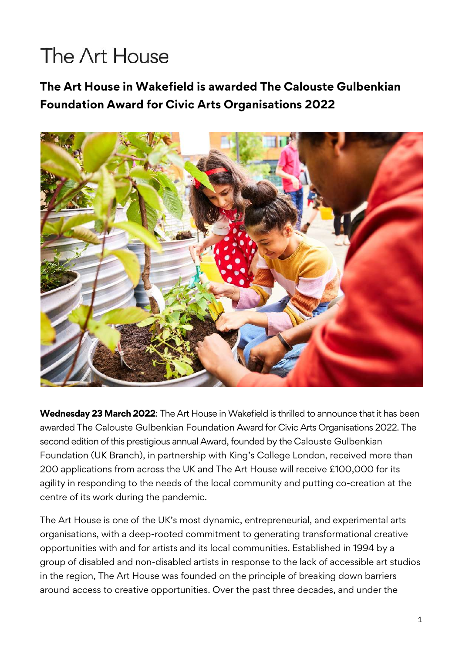## The Art House

**The Art House in Wakefield is awarded The Calouste Gulbenkian Foundation Award for Civic Arts Organisations 2022**



**Wednesday 23 March 2022**: The Art House in Wakefield is thrilled to announce that it has been awarded The Calouste Gulbenkian Foundation Award for Civic Arts Organisations 2022. The second edition of this prestigious annual Award, founded by the Calouste Gulbenkian Foundation (UK Branch), in partnership with King's College London, received more than 200 applications from across the UK and The Art House will receive £100,000 for its agility in responding to the needs of the local community and putting co-creation at the centre of its work during the pandemic.

The Art House is one of the UK's most dynamic, entrepreneurial, and experimental arts organisations, with a deep-rooted commitment to generating transformational creative opportunities with and for artists and its local communities. Established in 1994 by a group of disabled and non-disabled artists in response to the lack of accessible art studios in the region, The Art House was founded on the principle of breaking down barriers around access to creative opportunities. Over the past three decades, and under the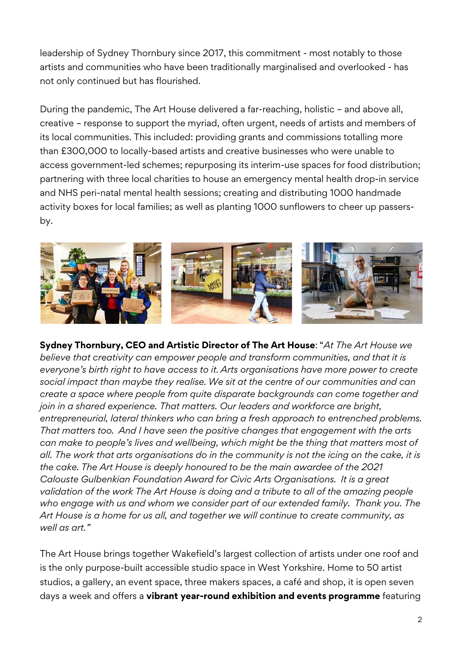leadership of Sydney Thornbury since 2017, this commitment - most notably to those artists and communities who have been traditionally marginalised and overlooked - has not only continued but has flourished.

During the pandemic, The Art House delivered a far-reaching, holistic – and above all, creative – response to support the myriad, often urgent, needs of artists and members of its local communities. This included: providing grants and commissions totalling more than £300,000 to locally-based artists and creative businesses who were unable to access government-led schemes; repurposing its interim-use spaces for food distribution; partnering with three local charities to house an emergency mental health drop-in service and NHS peri-natal mental health sessions; creating and distributing 1000 handmade activity boxes for local families; as well as planting 1000 sunflowers to cheer up passersby.



**Sydney Thornbury, CEO and Artistic Director of The Art House**: "*At The Art House we believe that creativity can empower people and transform communities, and that it is everyone's birth right to have access to it. Arts organisations have more power to create social impact than maybe they realise. We sit at the centre of our communities and can create a space where people from quite disparate backgrounds can come together and join in a shared experience. That matters. Our leaders and workforce are bright, entrepreneurial, lateral thinkers who can bring a fresh approach to entrenched problems. That matters too. And I have seen the positive changes that engagement with the arts can make to people's lives and wellbeing, which might be the thing that matters most of all. The work that arts organisations do in the community is not the icing on the cake, it is the cake. The Art House is deeply honoured to be the main awardee of the 2021 Calouste Gulbenkian Foundation Award for Civic Arts Organisations. It is a great validation of the work The Art House is doing and a tribute to all of the amazing people who engage with us and whom we consider part of our extended family. Thank you. The Art House is a home for us all, and together we will continue to create community, as well as art."*

The Art House brings together Wakefield's largest collection of artists under one roof and is the only purpose-built accessible studio space in West Yorkshire. Home to 50 artist studios, a gallery, an event space, three makers spaces, a café and shop, it is open seven days a week and offers a **vibrant year-round exhibition and events programme** featuring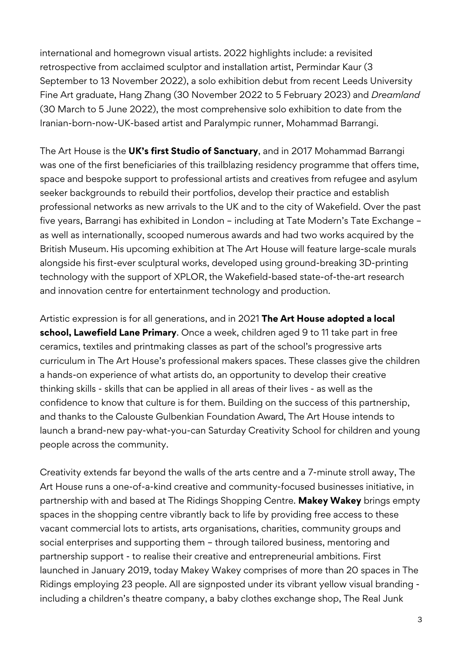international and homegrown visual artists. 2022 highlights include: a revisited retrospective from acclaimed sculptor and installation artist, Permindar Kaur (3 September to 13 November 2022), a solo exhibition debut from recent Leeds University Fine Art graduate, Hang Zhang (30 November 2022 to 5 February 2023) and *Dreamland* (30 March to 5 June 2022), the most comprehensive solo exhibition to date from the Iranian-born-now-UK-based artist and Paralympic runner, Mohammad Barrangi.

The Art House is the **UK's first Studio of Sanctuary**, and in 2017 Mohammad Barrangi was one of the first beneficiaries of this trailblazing residency programme that offers time, space and bespoke support to professional artists and creatives from refugee and asylum seeker backgrounds to rebuild their portfolios, develop their practice and establish professional networks as new arrivals to the UK and to the city of Wakefield. Over the past five years, Barrangi has exhibited in London – including at Tate Modern's Tate Exchange – as well as internationally, scooped numerous awards and had two works acquired by the British Museum. His upcoming exhibition at The Art House will feature large-scale murals alongside his first-ever sculptural works, developed using ground-breaking 3D-printing technology with the support of XPLOR, the Wakefield-based state-of-the-art research and innovation centre for entertainment technology and production.

Artistic expression is for all generations, and in 2021 **The Art House adopted a local school, Lawefield Lane Primary**. Once a week, children aged 9 to 11 take part in free ceramics, textiles and printmaking classes as part of the school's progressive arts curriculum in The Art House's professional makers spaces. These classes give the children a hands-on experience of what artists do, an opportunity to develop their creative thinking skills - skills that can be applied in all areas of their lives - as well as the confidence to know that culture is for them. Building on the success of this partnership, and thanks to the Calouste Gulbenkian Foundation Award, The Art House intends to launch a brand-new pay-what-you-can Saturday Creativity School for children and young people across the community.

Creativity extends far beyond the walls of the arts centre and a 7-minute stroll away, The Art House runs a one-of-a-kind creative and community-focused businesses initiative, in partnership with and based at The Ridings Shopping Centre. **Makey Wakey** brings empty spaces in the shopping centre vibrantly back to life by providing free access to these vacant commercial lots to artists, arts organisations, charities, community groups and social enterprises and supporting them – through tailored business, mentoring and partnership support - to realise their creative and entrepreneurial ambitions. First launched in January 2019, today Makey Wakey comprises of more than 20 spaces in The Ridings employing 23 people. All are signposted under its vibrant yellow visual branding including a children's theatre company, a baby clothes exchange shop, The Real Junk